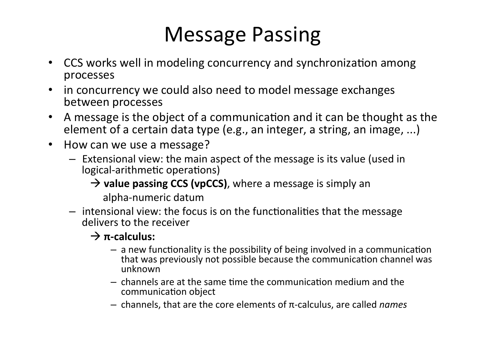## Message Passing

- CCS works well in modeling concurrency and synchronization among processes
- in concurrency we could also need to model message exchanges between processes
- A message is the object of a communication and it can be thought as the element of a certain data type (e.g., an integer, a string, an image, ...)
- How can we use a message?
	- $-$  Extensional view: the main aspect of the message is its value (used in logical-arithmetic operations)
		- $\rightarrow$  **value passing CCS (vpCCS)**, where a message is simply an

 alpha-numeric datum

 $-$  intensional view: the focus is on the functionalities that the message delivers to the receiver

#### $\rightarrow$   $\pi$ -calculus:

- $-$  a new functionality is the possibility of being involved in a communication that was previously not possible because the communication channel was unknown
- $-$  channels are at the same time the communication medium and the communication object
- $-$  channels, that are the core elements of π-calculus, are called *names*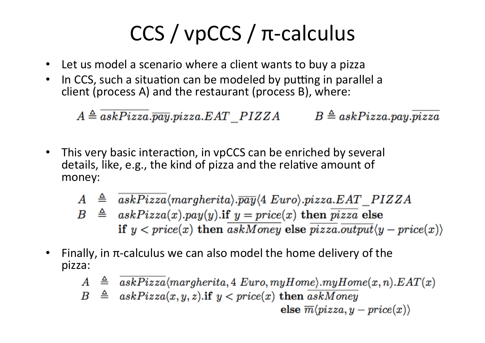# $CCS /$  vpCCS /  $\pi$ -calculus

- Let us model a scenario where a client wants to buy a pizza
- In CCS, such a situation can be modeled by putting in parallel a client (process A) and the restaurant (process B), where:

 $A \triangleq \overline{askPizza}.\overline{pay}.pizza. EAT\_PIZZA$  $B \triangleq askPizza.py \cdot \overline{pizza}$ 

- This very basic interaction, in vpCCS can be enriched by several details, like, e.g., the kind of pizza and the relative amount of money:
	- $A \triangleq askPizza(margherita).$   $\overline{pay}\langle 4 \ Euro \rangle.$  pizza. EAT PIZZA
	- $B \triangleq askPizza(x).pay(y).$ if  $y = price(x)$  then  $\overline{pizza}$  else if  $y < price(x)$  then askMoney else  $\overline{pizza}.\overline{output}\langle y - price(x) \rangle$
- Finally, in  $\pi$ -calculus we can also model the home delivery of the pizza:
	- $A \triangleq askPizza(margherita, 4 Euro, myHome).myHome(x, n).EAT(x)$
	- $B \triangleq askPizza(x, y, z)$ .if  $y < price(x)$  then  $\overline{askMoney}$

else  $\overline{m}\langle pizza, y - price(x)\rangle$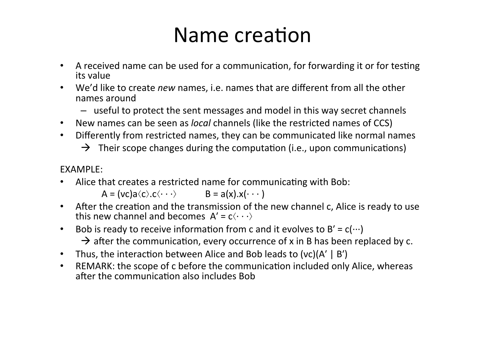#### Name creation

- A received name can be used for a communication, for forwarding it or for testing its value
- We'd like to create *new* names, i.e. names that are different from all the other names around
	- $-$  useful to protect the sent messages and model in this way secret channels
- New names can be seen as *local* channels (like the restricted names of CCS)
- Differently from restricted names, they can be communicated like normal names
	- $\rightarrow$  Their scope changes during the computation (i.e., upon communications)

EXAMPLE:

• Alice that creates a restricted name for communicating with Bob:

 $A = (vc)a\langle c\rangle.c\langle \cdot\cdot\cdot\rangle$   $B = a(x).x(\cdot\cdot\cdot)$ 

- After the creation and the transmission of the new channel c, Alice is ready to use this new channel and becomes  $A' = c \langle \cdots \rangle$
- Bob is ready to receive information from c and it evolves to  $B' = c(\cdots)$  $\rightarrow$  after the communication, every occurrence of x in B has been replaced by c.
- Thus, the interaction between Alice and Bob leads to  $(vc)(A' | B')$
- REMARK: the scope of c before the communication included only Alice, whereas after the communication also includes Bob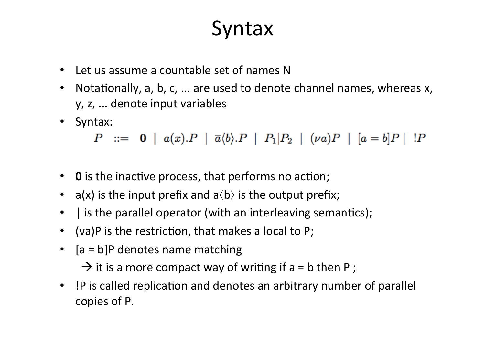#### **Syntax**

- Let us assume a countable set of names N
- Notationally, a, b, c, ... are used to denote channel names, whereas x, y, z, ... denote input variables
- Syntax:

 $P ::= \mathbf{0} | a(x).P | \overline{a} \langle b \rangle.P | P_1|P_2 | (\nu a)P | [a = b]P | P$ 

- O is the inactive process, that performs no action;
- a(x) is the input prefix and  $a\langle b \rangle$  is the output prefix;
- I is the parallel operator (with an interleaving semantics);
- (va)P is the restriction, that makes a local to P;
- $[a = b]P$  denotes name matching

 $\rightarrow$  it is a more compact way of writing if a = b then P;

• !P is called replication and denotes an arbitrary number of parallel copies of P.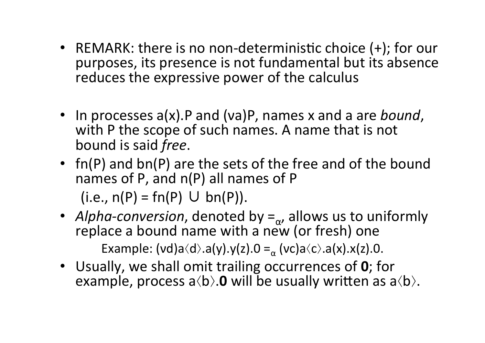- REMARK: there is no non-deterministic choice  $(+)$ ; for our purposes, its presence is not fundamental but its absence reduces the expressive power of the calculus
- In processes a(x).P and (va)P, names x and a are *bound*, with P the scope of such names. A name that is not bound is said *free*.
- fn(P) and  $bn(P)$  are the sets of the free and of the bound names of P, and  $n(P)$  all names of P  $(i.e., n(P) = fn(P) \cup bn(P)).$
- *Alpha-conversion*, denoted by  $=_{\alpha}$ , allows us to uniformly replace a bound name with a new (or fresh) one Example:  $(vd)a\langle d\rangle.a(y).y(z).0 = (vc)a\langle c\rangle.a(x).x(z).0.$
- Usually, we shall omit trailing occurrences of 0; for example, process  $a\langle b\rangle$ . **0** will be usually written as  $a\langle b\rangle$ .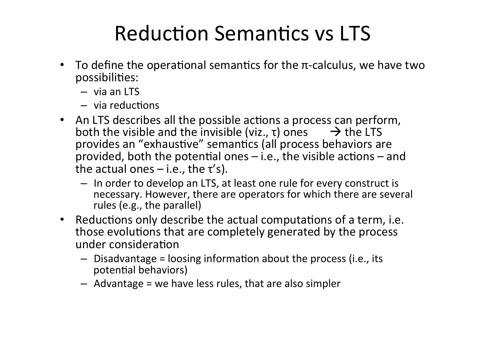## Reduction Semantics vs LTS

- To define the operational semantics for the  $\pi$ -calculus, we have two possibilities:
	- $-$  via an LTS
	- $-$  via reductions
- An LTS describes all the possible actions a process can perform, both the visible and the invisible (viz.,  $\tau$ ) ones  $\rightarrow$  the LTS provides an "exhaustive" semantics (all process behaviors are provided, both the potential ones  $-$  i.e., the visible actions  $-$  and the actual ones  $-$  i.e., the  $\tau$ 's).
	- In order to develop an LTS, at least one rule for every construct is necessary. However, there are operators for which there are several rules (e.g., the parallel)
- Reductions only describe the actual computations of a term, i.e. those evolutions that are completely generated by the process under consideration
	- $-$  Disadvantage = loosing information about the process (i.e., its potential behaviors)
	- $-$  Advantage = we have less rules, that are also simpler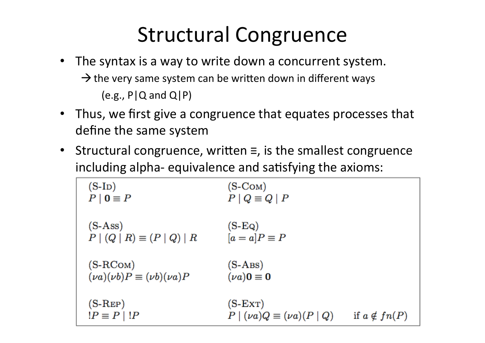### Structural Congruence

- The syntax is a way to write down a concurrent system.  $\rightarrow$  the very same system can be written down in different ways  $(e.g., P|Q \text{ and } Q|P)$
- Thus, we first give a congruence that equates processes that define the same system
- Structural congruence, written  $\equiv$ , is the smallest congruence including alpha- equivalence and satisfying the axioms:

| $(S-ID)$<br>$P \mid \mathbf{0} \equiv P$               | (S-COM)<br>$P \mid Q \equiv Q \mid P$             |                     |
|--------------------------------------------------------|---------------------------------------------------|---------------------|
| $(S-Ass)$<br>$P   (Q   R) \equiv (P   Q)   R$          | $(S-EQ)$<br>$[a = a]P \equiv P$                   |                     |
| $(S-RCOM)$<br>$(\nu a)(\nu b)P \equiv (\nu b)(\nu a)P$ | $(S-ABS)$<br>$(\nu a)0 \equiv 0$                  |                     |
| $(S-REP)$<br>$ P \equiv P   P$                         | $(S-ExT)$<br>$P   (\nu a)Q \equiv (\nu a)(P   Q)$ | if $a \notin fn(P)$ |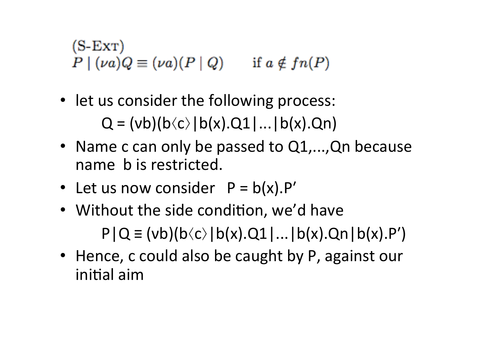$(S-ExT)$  $P | (\nu a) Q \equiv (\nu a) (P | Q)$  if  $a \notin fn(P)$ 

- let us consider the following process:  $Q = (vb)(b \langle c \rangle | b(x).Q1|...| b(x).Qn)$
- Name c can only be passed to Q1,..., Qn because name b is restricted.
- Let us now consider  $P = b(x).P'$
- Without the side condition, we'd have  $P|Q \equiv (vb)(b \langle c \rangle | b(x).Q1|...|b(x).Qn | b(x).P')$
- Hence, c could also be caught by P, against our initial aim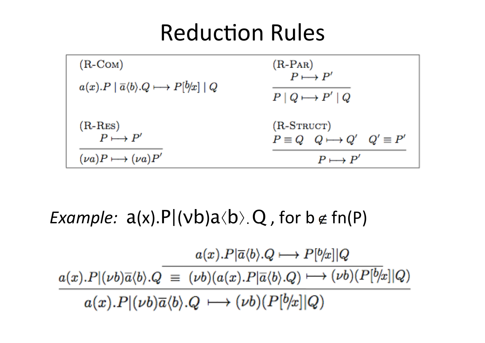## **Reduction Rules**



*Example:*  $a(x).P|(vb)a\langle b\rangle$ . Q, for  $b \notin f(n)$ 

 $a(x).P|\overline{a}\langle b\rangle.Q \longmapsto P|b/x||Q$  $a(x).P|(\nu b)\overline{a}\langle b\rangle.Q\ \equiv\ (\nu b)(a(x).P|\overline{a}\langle b\rangle.Q)\longmapsto \overline{(\nu b)(P[b/x]|Q)}$  $a(x).P|(\nu b)\overline{a}\langle b\rangle.Q \longmapsto (\nu b)(P[b/x]|Q)$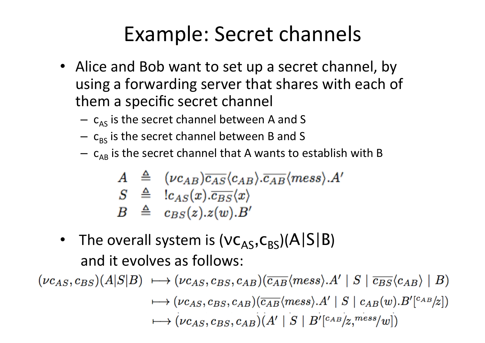## Example: Secret channels

- Alice and Bob want to set up a secret channel, by using a forwarding server that shares with each of them a specific secret channel
	- $-$  c<sub>AS</sub> is the secret channel between A and S
	- $-$  c<sub>BS</sub> is the secret channel between B and S
	- $-$  c<sub>AB</sub> is the secret channel that A wants to establish with B

$$
A \triangleq (\nu c_{AB}) \overline{c_{AS}} \langle c_{AB} \rangle \overline{c_{AB}} \langle \text{mess} \rangle A
$$
  
\n
$$
S \triangleq |c_{AS}(x) . \overline{c_{BS}} \langle x \rangle
$$
  
\n
$$
B \triangleq c_{BS}(z) . z(w) . B'
$$

• The overall system is  $(VC_{AS},C_{BS})(A|S|B)$ and it evolves as follows:

 $(\nu c_{AS}, c_{BS})(A|S|B) \longrightarrow (\nu c_{AS}, c_{BS}, c_{AB})(\overline{c_{AB}}\langle mess \rangle A' | S | \overline{c_{BS}}\langle c_{AB} \rangle | B)$  $\longmapsto (\nu c_{AS}, c_{BS}, c_{AB})(\overline{c_{AB}}\langle mess \rangle.A' | S | c_{AB}(w).B'[^{c_{AB}}]z])$  $\mapsto (\nu c_{AS}, c_{BS}, c_{AB})(A' | S | B' [c_{AB}/z, {mess}/w])$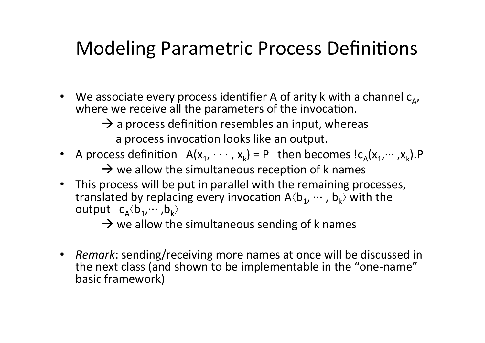#### Modeling Parametric Process Definitions

- We associate every process identifier A of arity k with a channel  $c_{\Delta}$ , where we receive all the parameters of the invocation.
	- $\rightarrow$  a process definition resembles an input, whereas
		- a process invocation looks like an output.
- A process definition  $A(x_1, \dots, x_k) = P$  then becomes  $lc_A(x_1, \dots, x_k)$ .P
	- $\rightarrow$  we allow the simultaneous reception of k names
- This process will be put in parallel with the remaining processes, translated by replacing every invocation  $A\langle b_1, \cdots, b_k\rangle$  with the output  $c_A \langle b_1, \dots, b_k \rangle$

 $\rightarrow$  we allow the simultaneous sending of k names

• *Remark*: sending/receiving more names at once will be discussed in the next class (and shown to be implementable in the "one-name" basic framework)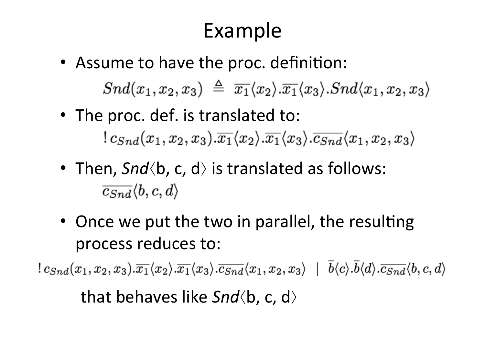## Example

• Assume to have the proc. definition:  $Snd(x_1, x_2, x_3) \triangleq \overline{x_1}\langle x_2 \rangle \overline{x_1}\langle x_3 \rangle \cdot Snd\langle x_1, x_2, x_3 \rangle$ 

• The proc. def. is translated to:  $c_{Snd}(x_1, x_2, x_3) \cdot \overline{x_1} \langle x_2 \rangle \cdot \overline{x_1} \langle x_3 \rangle \cdot \overline{c_{Snd}} \langle x_1, x_2, x_3 \rangle$ 

- Then, Snd  $\langle b, c, d \rangle$  is translated as follows:  $\overline{c_{Snd}}\langle b,c,d\rangle$
- Once we put the two in parallel, the resulting process reduces to:

 $|c_{Snd}(x_1, x_2, x_3).\overline{x_1}\langle x_2\rangle.\overline{x_1}\langle x_3\rangle.\overline{c_{Snd}}\langle x_1, x_2, x_3\rangle + \overline{b}\langle c\rangle.\overline{b}\langle d\rangle.\overline{c_{Snd}}\langle b, c, d\rangle$ 

that behaves like Snd  $\langle b, c, d \rangle$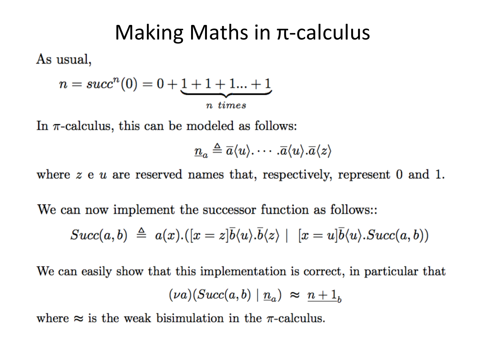#### Making Maths in  $\pi$ -calculus

As usual,

$$
n = succn(0) = 0 + \underbrace{1 + 1 + 1... + 1}_{n \text{ times}}
$$

In  $\pi$ -calculus, this can be modeled as follows:

$$
\underline{n}_a \triangleq \overline{a}\langle u \rangle \cdots \cdot \overline{a}\langle u \rangle \cdot \overline{a}\langle z \rangle
$$

where  $z \in u$  are reserved names that, respectively, represent 0 and 1.

We can now implement the successor function as follows::

$$
Succ(a,b) \triangleq a(x).([x = z]\overline{b}\langle u \rangle \cdot \overline{b}\langle z \rangle \mid [x = u]\overline{b}\langle u \rangle \cdot Succ(a,b))
$$

We can easily show that this implementation is correct, in particular that  $(\nu a)(Succ(a,b) | \underline{n}_a) \approx n+1$ 

where  $\approx$  is the weak bisimulation in the  $\pi$ -calculus.